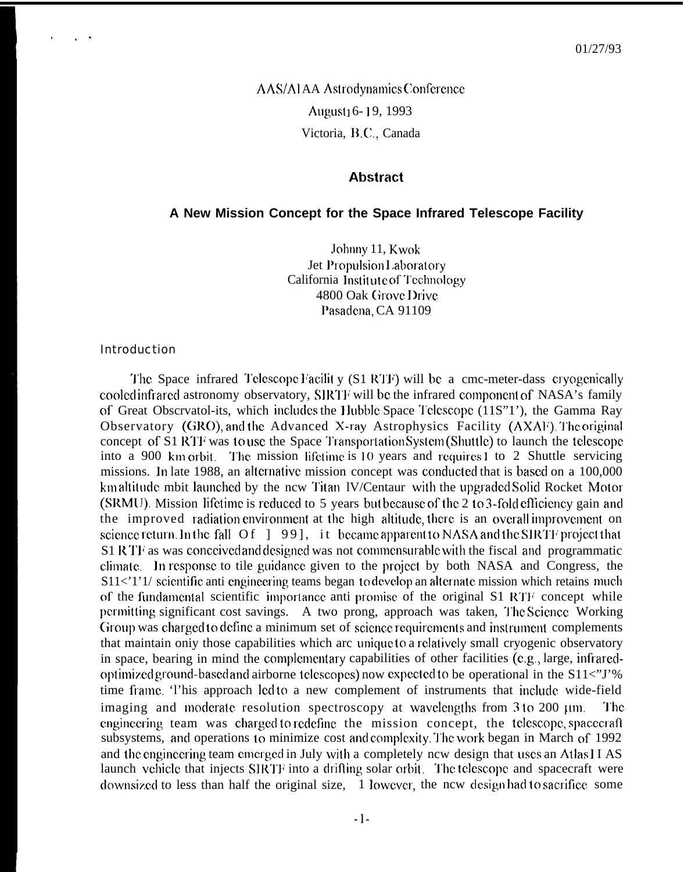**AAS/ALAA Astrodynamics Conference** August<sub>1</sub> 6-19, 1993 Victoria, B.C., Canada

## **Abstract**

## A New Mission Concept for the Space Infrared Telescope Facility

Johnny 11, Kwok Jet Propulsion Laboratory California Institute of Technology 4800 Oak Grove Drive Pasadena, CA 91109

## **Introduction**

The Space infrared Telescope Facility (S1 RTF) will be a cmc-meter-dass cryogenically cooled infrared astronomy observatory, SIRTF will be the infrared component of NASA's family of Great Obscrvatol-its, which includes the Hubble Space Telescope (11S"1'), the Gamma Ray Observatory (GRO), and the Advanced X-ray Astrophysics Facility (AXAF). The original concept of S1 RTF was to use the Space Transportation System (Shuttle) to launch the telescope into a 900 km orbit. The mission lifetime is 10 years and requires 1 to 2 Shuttle servicing missions. In late 1988, an alternative mission concept was conducted that is based on a 100,000 kmaltitude mbit launched by the ncw Titan IV/Centaur with the upgraded Solid Rocket Motor (SRMU). Mission lifetime is reduced to 5 years but because of the 2 to 3-fold efficiency gain and the improved radiation environment at the high altitude, there is an overall improvement on science return. In the fall  $Of \in [99]$ , it became apparent to NASA and the SIRTF project that S1 R TF as was conceived and designed was not commensurable with the fiscal and programmatic climate. In response to tile guidance given to the project by both NASA and Congress, the S11<'1'1/ scientific anti engineering teams began to develop an alternate mission which retains much of the fundamental scientific importance anti promise of the original S1 RTF concept while permitting significant cost savings. A two prong, approach was taken, The Science Working Group was charged to define a minimum set of science requirements and instrument complements that maintain only those capabilities which are unique to a relatively small cryogenic observatory in space, bearing in mind the complementary capabilities of other facilities (e.g., large, infraredoptimized ground-based and airborne telescopes) now expected to be operational in the  $S11\lt "I"\%$ time frame. This approach led to a new complement of instruments that include wide-field imaging and moderate resolution spectroscopy at wavelengths from 3 to 200 µm. The engineering team was charged to redefine the mission concept, the telescope, spacecraft subsystems, and operations to minimize cost and complexity. The work began in March of 1992 and the engineering team emerged in July with a completely new design that uses an Atlas II AS launch vehicle that injects SIRTF into a drifting solar orbit. The telescope and spacecraft were downsized to less than half the original size, 1 lowever, the new design had to sacrifice some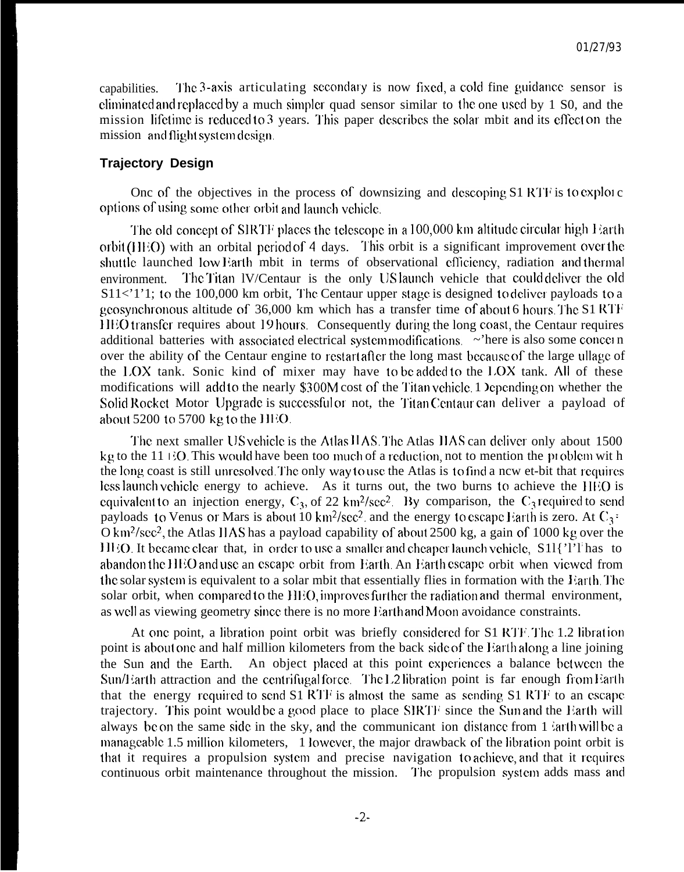capabilities. The 3-axis articulating secondary is now fixed, a cold fine guidance sensor is eliminated and replaced by a much simpler quad sensor similar to the one used by 1 S0, and the mission lifetime is reduced to 3 years. This paper describes the solar mbit and its effect on the mission and flight system design.

## **Trajectory Design**

Onc of the objectives in the process of downsizing and descoping  $S1$  RTF is to exploi c options of using some other orbit and launch vehicle.

The old concept of SIRTF places the telescope in a  $100,000$  km altitude circular high  $E$ arth orbit (HEO) with an orbital period of 4 days. This orbit is a significant improvement over the shuttle launched low Earth mbit in terms of observational efficiency, radiation and thermal environment. The Titan IV/Centaur is the only US launch vehicle that could deliver the old  $S11 \lt 1'1$ ; to the 100,000 km orbit, The Centaur upper stage is designed to deliver payloads to a geosynchronous altitude of  $36,000$  km which has a transfer time of about 6 hours. The S1 RTF HEO transfer requires about 19 hours. Consequently during the long coast, the Centaur requires additional batteries with associated electrical system modifications.  $\sim$ 'here is also some concern over the ability of the Centaur engine to restart after the long mast because of the large ullage of the  $LOX$  tank. Sonic kind of mixer may have to be added to the  $LOX$  tank. All of these modifications will add to the nearly \$300M cost of the Titan vehicle. 1 Depending on whether the Solid Rocket Motor Upgrade is successful or not, the Titan Centaur can deliver a payload of about  $5200$  to  $5700$  kg to the  $HEO$ .

The next smaller US vehicle is the Atlas IIAS. The Atlas IIAS can deliver only about 1500 kg to the 11 EO. This would have been too much of a reduction, not to mention the problem wit h the long coast is still unresolved. The only way to use the Atlas is to find a ncw et-bit that requires less launch vehicle energy to achieve. As it turns out, the two burns to achieve the HEO is equivalent to an injection energy,  $C_3$ , of 22 km<sup>2</sup>/sec<sup>2</sup>. By comparison, the  $C_3$  required to send payloads to Venus or Mars is about 10 km<sup>2</sup>/sec<sup>2</sup>. and the energy to escape Earth is zero. At  $C_3$  =  $O \text{ km}^2/\text{sec}^2$ , the Atlas IIAS has a payload capability of about 2500 kg, a gain of 1000 kg over the HEO. It became clear that, in order to use a smaller and cheaper launch vehicle, S11{'l'l'has to abandon the HEO and use an escape orbit from Earth. An Earth escape orbit when viewed from the solar system is equivalent to a solar mbit that essentially flies in formation with the Farth The solar orbit, when compared to the HEO, improves further the radiation and thermal environment, as well as viewing geometry since there is no more Earth and Moon avoidance constraints.

At onc point, a libration point orbit was briefly considered for S1 RTF. The 1.2 libration point is about one and half million kilometers from the back side of the Earth along a line joining the Sun and the Earth. An object placed at this point experiences a balance between the Sun/Earth attraction and the centrifugal force. The L2 libration point is far enough from Earth that the energy required to send  $S1$  RTF is almost the same as sending  $S1$  RTF to an escape trajectory. This point would be a good place to place SIRTF since the Sun and the Earth will always be on the same side in the sky, and the communicant ion distance from 1  $\sin$  th will be a manageable 1.5 million kilometers, 1 lowever, the major drawback of the libration point orbit is that it requires a propulsion system and precise navigation to achieve, and that it requires continuous orbit maintenance throughout the mission. The propulsion system adds mass and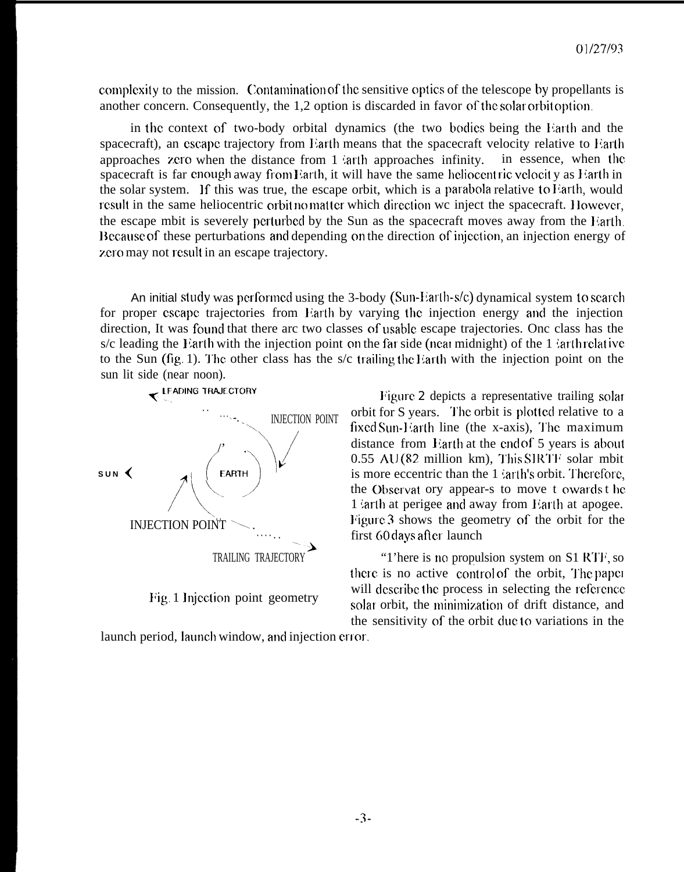complexity to the mission. Contamination of the sensitive optics of the telescope by propellants is another concern. Consequently, the 1,2 option is discarded in favor of the solar orbit option.

in the context of two-body orbital dynamics (the two bodies being the Earth and the spacecraft), an escape trajectory from Earth means that the spacecraft velocity relative to Earth approaches zero when the distance from  $1$  arth approaches infinity. in essence, when the spacecraft is far enough away from Earth, it will have the same heliocent ric velocit y as Harth in the solar system. If this was true, the escape orbit, which is a parabola relative to Earth, would result in the same heliocentric orbit no matter which direction we inject the spacecraft. However, the escape mbit is severely perturbed by the Sun as the spacecraft moves away from the Harth. Because of these perturbations and depending on the direction of injection, an injection energy of zero may not result in an escape trajectory.

An initial study was performed using the 3-body (Sun-Earth-s/c) dynamical system to search for proper escape trajectories from liarth by varying the injection energy and the injection direction, It was found that there arc two classes of usable escape trajectories. Onc class has the s/c leading the Earth with the injection point on the far side (near midnight) of the  $1$  larth relative to the Sun (fig. 1). The other class has the s/c trailing the Earth with the injection point on the



Figure 2 depicts a representative trailing solar orbit for S years. The orbit is plotted relative to a fixed Sun-Harth line (the x-axis), The maximum distance from Earth at the end of 5 years is about  $0.55$  AU(82 million km), This SIRTF solar mbit is more eccentric than the  $1$  : arth's orbit. Therefore, the Observat ory appear-s to move t owards the 1  $arth$  at perigee and away from Farth at apogee. liigute 3 shows the geometry of the orbit for the first 60 days after launch

"1'here is no propulsion system on  $S1$   $RTF$ , so there is no active control of the orbit, The paper Fig. 1 lnjcction point geometry will describe the process in selecting the reference solat orbit, the minimization of drift distance, and the sensitivity of the orbit due to variations in the

launch period, launch window, and injection error.